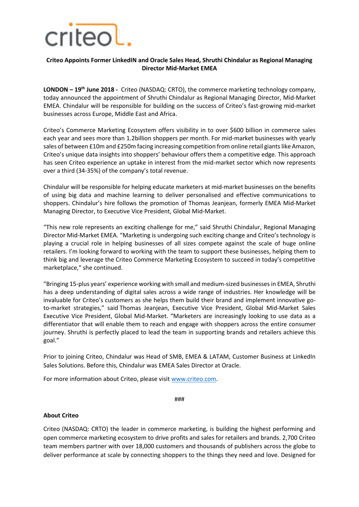

## **Criteo Appoints Former LinkedIN and Oracle Sales Head, Shruthi Chindalur as Regional Managing Director Mid-Market EMEA**

**LONDON – 19th June 2018 -** Criteo (NASDAQ: CRTO), the commerce marketing technology company, today announced the appointment of Shruthi Chindalur as Regional Managing Director, Mid-Market EMEA. Chindalur will be responsible for building on the success of Criteo's fast-growing mid-market businesses across Europe, Middle East and Africa.

Criteo's Commerce Marketing Ecosystem offers visibility in to over \$600 billion in commerce sales each year and sees more than 1.2billion shoppers per month. For mid-market businesses with yearly sales of between £10m and £250m facing increasing competition from online retail giants like Amazon, Criteo's unique data insights into shoppers' behaviour offers them a competitive edge. This approach has seen Criteo experience an uptake in interest from the mid-market sector which now represents over a third (34-35%) of the company's total revenue.

Chindalur will be responsible for helping educate marketers at mid-market businesses on the benefits of using big data and machine learning to deliver personalised and effective communications to shoppers. Chindalur's hire follows the promotion of Thomas Jeanjean, formerly EMEA Mid-Market Managing Director, to Executive Vice President, Global Mid-Market.

"This new role represents an exciting challenge for me," said Shruthi Chindalur, Regional Managing Director Mid-Market EMEA. "Marketing is undergoing such exciting change and Criteo's technology is playing a crucial role in helping businesses of all sizes compete against the scale of huge online retailers. I'm looking forward to working with the team to support these businesses, helping them to think big and leverage the Criteo Commerce Marketing Ecosystem to succeed in today's competitive marketplace," she continued.

"Bringing 15-plus years' experience working with small and medium-sized businesses in EMEA, Shruthi has a deep understanding of digital sales across a wide range of industries. Her knowledge will be invaluable for Criteo's customers as she helps them build their brand and implement innovative goto-market strategies," said Thomas Jeanjean, Executive Vice President, Global Mid-Market Sales Executive Vice President, Global Mid-Market. "Marketers are increasingly looking to use data as a differentiator that will enable them to reach and engage with shoppers across the entire consumer journey. Shruthi is perfectly placed to lead the team in supporting brands and retailers achieve this goal."

Prior to joining Criteo, Chindalur was Head of SMB, EMEA & LATAM, Customer Business at LinkedIn Sales Solutions. Before this, Chindalur was EMEA Sales Director at Oracle.

For more information about Criteo, please visit [www.criteo.com.](http://www.criteo.com/)

###

## **About Criteo**

Criteo (NASDAQ: CRTO) the leader in commerce marketing, is building the highest performing and open commerce marketing ecosystem to drive profits and sales for retailers and brands. 2,700 Criteo team members partner with over 18,000 customers and thousands of publishers across the globe to deliver performance at scale by connecting shoppers to the things they need and love. Designed for